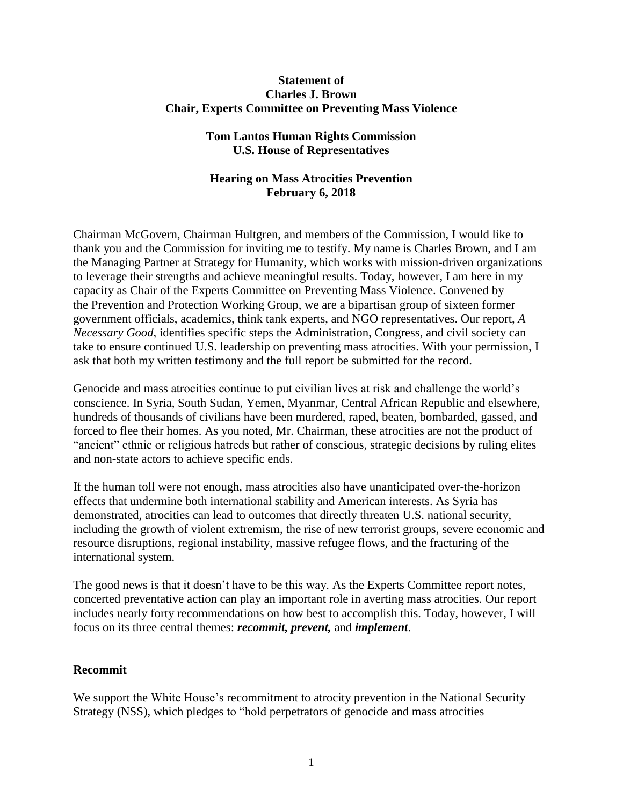#### **Statement of Charles J. Brown Chair, Experts Committee on Preventing Mass Violence**

## **Tom Lantos Human Rights Commission U.S. House of Representatives**

# **Hearing on Mass Atrocities Prevention February 6, 2018**

Chairman McGovern, Chairman Hultgren, and members of the Commission, I would like to thank you and the Commission for inviting me to testify. My name is Charles Brown, and I am the Managing Partner at Strategy for Humanity, which works with mission-driven organizations to leverage their strengths and achieve meaningful results. Today, however, I am here in my capacity as Chair of the Experts Committee on Preventing Mass Violence. Convened by the Prevention and Protection Working Group, we are a bipartisan group of sixteen former government officials, academics, think tank experts, and NGO representatives. Our report, *A Necessary Good*, identifies specific steps the Administration, Congress, and civil society can take to ensure continued U.S. leadership on preventing mass atrocities. With your permission, I ask that both my written testimony and the full report be submitted for the record.

Genocide and mass atrocities continue to put civilian lives at risk and challenge the world's conscience. In Syria, South Sudan, Yemen, Myanmar, Central African Republic and elsewhere, hundreds of thousands of civilians have been murdered, raped, beaten, bombarded, gassed, and forced to flee their homes. As you noted, Mr. Chairman, these atrocities are not the product of "ancient" ethnic or religious hatreds but rather of conscious, strategic decisions by ruling elites and non-state actors to achieve specific ends.

If the human toll were not enough, mass atrocities also have unanticipated over-the-horizon effects that undermine both international stability and American interests. As Syria has demonstrated, atrocities can lead to outcomes that directly threaten U.S. national security, including the growth of violent extremism, the rise of new terrorist groups, severe economic and resource disruptions, regional instability, massive refugee flows, and the fracturing of the international system.

The good news is that it doesn't have to be this way. As the Experts Committee report notes, concerted preventative action can play an important role in averting mass atrocities. Our report includes nearly forty recommendations on how best to accomplish this. Today, however, I will focus on its three central themes: *recommit, prevent,* and *implement*.

#### **Recommit**

We support the White House's recommitment to atrocity prevention in the National Security Strategy (NSS), which pledges to "hold perpetrators of genocide and mass atrocities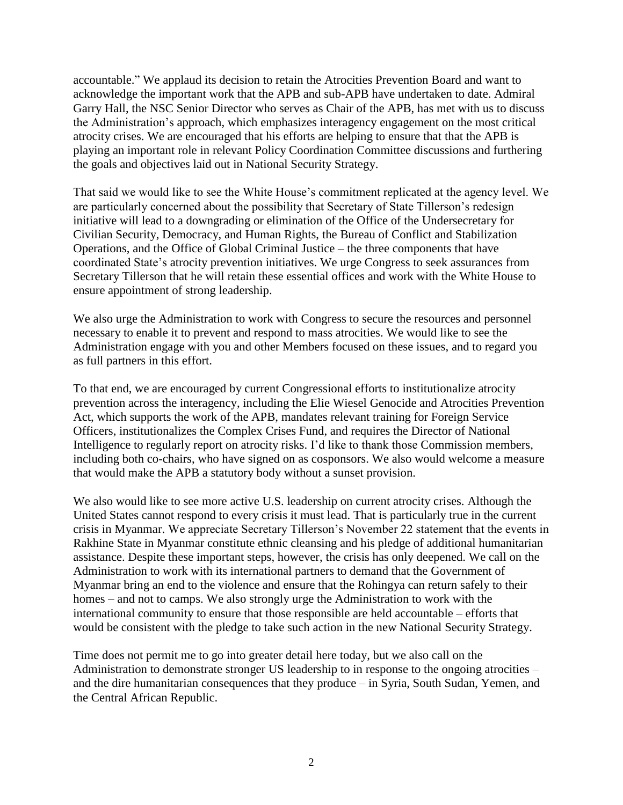accountable." We applaud its decision to retain the Atrocities Prevention Board and want to acknowledge the important work that the APB and sub-APB have undertaken to date. Admiral Garry Hall, the NSC Senior Director who serves as Chair of the APB, has met with us to discuss the Administration's approach, which emphasizes interagency engagement on the most critical atrocity crises. We are encouraged that his efforts are helping to ensure that that the APB is playing an important role in relevant Policy Coordination Committee discussions and furthering the goals and objectives laid out in National Security Strategy.

That said we would like to see the White House's commitment replicated at the agency level. We are particularly concerned about the possibility that Secretary of State Tillerson's redesign initiative will lead to a downgrading or elimination of the Office of the Undersecretary for Civilian Security, Democracy, and Human Rights, the Bureau of Conflict and Stabilization Operations, and the Office of Global Criminal Justice – the three components that have coordinated State's atrocity prevention initiatives. We urge Congress to seek assurances from Secretary Tillerson that he will retain these essential offices and work with the White House to ensure appointment of strong leadership.

We also urge the Administration to work with Congress to secure the resources and personnel necessary to enable it to prevent and respond to mass atrocities. We would like to see the Administration engage with you and other Members focused on these issues, and to regard you as full partners in this effort.

To that end, we are encouraged by current Congressional efforts to institutionalize atrocity prevention across the interagency, including the Elie Wiesel Genocide and Atrocities Prevention Act, which supports the work of the APB, mandates relevant training for Foreign Service Officers, institutionalizes the Complex Crises Fund, and requires the Director of National Intelligence to regularly report on atrocity risks. I'd like to thank those Commission members, including both co-chairs, who have signed on as cosponsors. We also would welcome a measure that would make the APB a statutory body without a sunset provision.

We also would like to see more active U.S. leadership on current atrocity crises. Although the United States cannot respond to every crisis it must lead. That is particularly true in the current crisis in Myanmar. We appreciate Secretary Tillerson's November 22 statement that the events in Rakhine State in Myanmar constitute ethnic cleansing and his pledge of additional humanitarian assistance. Despite these important steps, however, the crisis has only deepened. We call on the Administration to work with its international partners to demand that the Government of Myanmar bring an end to the violence and ensure that the Rohingya can return safely to their homes – and not to camps. We also strongly urge the Administration to work with the international community to ensure that those responsible are held accountable – efforts that would be consistent with the pledge to take such action in the new National Security Strategy.

Time does not permit me to go into greater detail here today, but we also call on the Administration to demonstrate stronger US leadership to in response to the ongoing atrocities – and the dire humanitarian consequences that they produce – in Syria, South Sudan, Yemen, and the Central African Republic.